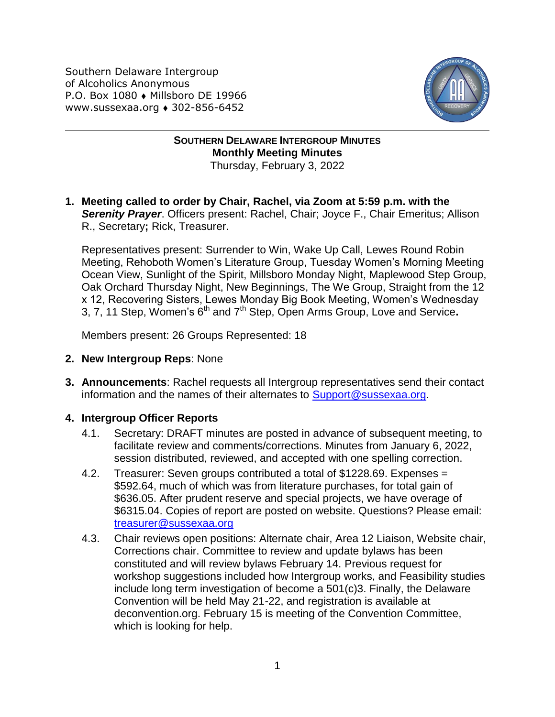Southern Delaware Intergroup of Alcoholics Anonymous P.O. Box 1080 • Millsboro DE 19966 www.sussexaa.org • 302-856-6452



**SOUTHERN DELAWARE INTERGROUP MINUTES Monthly Meeting Minutes** Thursday, February 3, 2022

**1. Meeting called to order by Chair, Rachel, via Zoom at 5:59 p.m. with the Serenity Prayer**. Officers present: Rachel, Chair; Joyce F., Chair Emeritus; Allison R., Secretary**;** Rick, Treasurer.

Representatives present: Surrender to Win, Wake Up Call, Lewes Round Robin Meeting, Rehoboth Women's Literature Group, Tuesday Women's Morning Meeting Ocean View, Sunlight of the Spirit, Millsboro Monday Night, Maplewood Step Group, Oak Orchard Thursday Night, New Beginnings, The We Group, Straight from the 12 x 12, Recovering Sisters, Lewes Monday Big Book Meeting, Women's Wednesday 3, 7, 11 Step, Women's 6th and 7th Step, Open Arms Group, Love and Service**.**

Members present: 26 Groups Represented: 18

- **2. New Intergroup Reps**: None
- **3. Announcements**: Rachel requests all Intergroup representatives send their contact information and the names of their alternates to [Support@sussexaa.org.](mailto:Support@sussexaa.org)

## **4. Intergroup Officer Reports**

- 4.1. Secretary: DRAFT minutes are posted in advance of subsequent meeting, to facilitate review and comments/corrections. Minutes from January 6, 2022, session distributed, reviewed, and accepted with one spelling correction.
- 4.2. Treasurer: Seven groups contributed a total of \$1228.69. Expenses = \$592.64, much of which was from literature purchases, for total gain of \$636.05. After prudent reserve and special projects, we have overage of \$6315.04. Copies of report are posted on website. Questions? Please email: [treasurer@sussexaa.org](mailto:treasurer@sussexaa.org)
- 4.3. Chair reviews open positions: Alternate chair, Area 12 Liaison, Website chair, Corrections chair. Committee to review and update bylaws has been constituted and will review bylaws February 14. Previous request for workshop suggestions included how Intergroup works, and Feasibility studies include long term investigation of become a 501(c)3. Finally, the Delaware Convention will be held May 21-22, and registration is available at deconvention.org. February 15 is meeting of the Convention Committee, which is looking for help.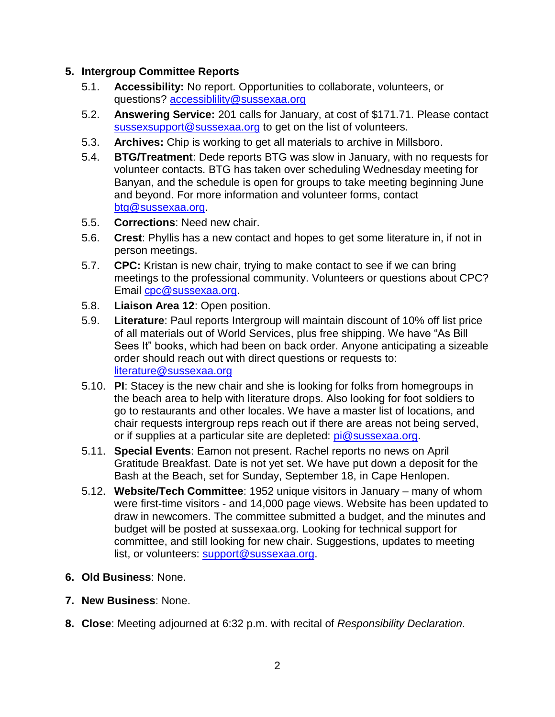## **5. Intergroup Committee Reports**

- 5.1. **Accessibility:** No report. Opportunities to collaborate, volunteers, or questions? [accessiblility@sussexaa.org](mailto:accessiblility@sussexaa.org)
- 5.2. **Answering Service:** 201 calls for January, at cost of \$171.71. Please contact [sussexsupport@sussexaa.org](mailto:sussexsupport@sussexaa.org) to get on the list of volunteers.
- 5.3. **Archives:** Chip is working to get all materials to archive in Millsboro.
- 5.4. **BTG/Treatment**: Dede reports BTG was slow in January, with no requests for volunteer contacts. BTG has taken over scheduling Wednesday meeting for Banyan, and the schedule is open for groups to take meeting beginning June and beyond. For more information and volunteer forms, contact [btg@sussexaa.org.](mailto:btg@sussexaa.org)
- 5.5. **Corrections**: Need new chair.
- 5.6. **Crest**: Phyllis has a new contact and hopes to get some literature in, if not in person meetings.
- 5.7. **CPC:** Kristan is new chair, trying to make contact to see if we can bring meetings to the professional community. Volunteers or questions about CPC? Email [cpc@sussexaa.org.](mailto:cpc@sussexaa.org)
- 5.8. **Liaison Area 12**: Open position.
- 5.9. **Literature**: Paul reports Intergroup will maintain discount of 10% off list price of all materials out of World Services, plus free shipping. We have "As Bill Sees It" books, which had been on back order. Anyone anticipating a sizeable order should reach out with direct questions or requests to: [literature@sussexaa.org](mailto:literature@sussexaa.org)
- 5.10. **PI**: Stacey is the new chair and she is looking for folks from homegroups in the beach area to help with literature drops. Also looking for foot soldiers to go to restaurants and other locales. We have a master list of locations, and chair requests intergroup reps reach out if there are areas not being served, or if supplies at a particular site are depleted: [pi@sussexaa.org.](mailto:pi@sussexaa.org)
- 5.11. **Special Events**: Eamon not present. Rachel reports no news on April Gratitude Breakfast. Date is not yet set. We have put down a deposit for the Bash at the Beach, set for Sunday, September 18, in Cape Henlopen.
- 5.12. **Website/Tech Committee**: 1952 unique visitors in January many of whom were first-time visitors - and 14,000 page views. Website has been updated to draw in newcomers. The committee submitted a budget, and the minutes and budget will be posted at sussexaa.org. Looking for technical support for committee, and still looking for new chair. Suggestions, updates to meeting list, or volunteers: [support@sussexaa.org.](mailto:support@sussexaa.org)
- **6. Old Business**: None.
- **7. New Business**: None.
- **8. Close**: Meeting adjourned at 6:32 p.m. with recital of *Responsibility Declaration.*